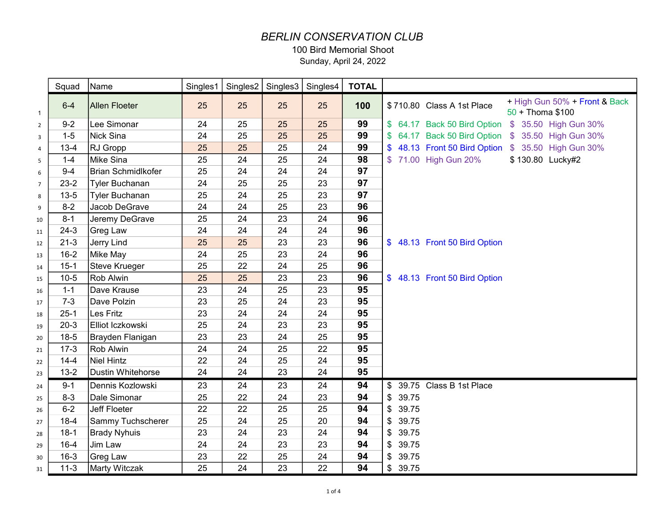## *BERLIN CONSERVATION CLUB*

100 Bird Memorial Shoot

Sunday, April 24, 2022

|                         | Squad    | Name                      | Singles1 |    | Singles2   Singles3   Singles4 |    | <b>TOTAL</b> |             |                              |                                                     |
|-------------------------|----------|---------------------------|----------|----|--------------------------------|----|--------------|-------------|------------------------------|-----------------------------------------------------|
| $\mathbf{1}$            | $6 - 4$  | <b>Allen Floeter</b>      | 25       | 25 | 25                             | 25 | 100          |             | \$710.80 Class A 1st Place   | + High Gun 50% + Front & Back<br>$50 +$ Thoma \$100 |
| $\overline{2}$          | $9 - 2$  | Lee Simonar               | 24       | 25 | 25                             | 25 | 99           |             |                              | \$ 64.17 Back 50 Bird Option \$ 35.50 High Gun 30%  |
| $\overline{\mathbf{3}}$ | $1 - 5$  | <b>Nick Sina</b>          | 24       | 25 | 25                             | 25 | 99           |             |                              | \$ 64.17 Back 50 Bird Option \$ 35.50 High Gun 30%  |
| $\overline{4}$          | $13 - 4$ | RJ Gropp                  | 25       | 25 | 25                             | 24 | 99           |             |                              | \$48.13 Front 50 Bird Option \$35.50 High Gun 30%   |
| 5                       | $1 - 4$  | Mike Sina                 | 25       | 24 | 25                             | 24 | 98           |             | \$71.00 High Gun 20%         | \$130.80 Lucky#2                                    |
| 6                       | $9 - 4$  | <b>Brian Schmidlkofer</b> | 25       | 24 | 24                             | 24 | 97           |             |                              |                                                     |
| $\overline{7}$          | $23-2$   | <b>Tyler Buchanan</b>     | 24       | 25 | 25                             | 23 | 97           |             |                              |                                                     |
| 8                       | $13 - 5$ | <b>Tyler Buchanan</b>     | 25       | 24 | 25                             | 23 | 97           |             |                              |                                                     |
| 9                       | $8 - 2$  | Jacob DeGrave             | 24       | 24 | 25                             | 23 | 96           |             |                              |                                                     |
| 10                      | $8 - 1$  | Jeremy DeGrave            | 25       | 24 | 23                             | 24 | 96           |             |                              |                                                     |
| 11                      | $24-3$   | Greg Law                  | 24       | 24 | 24                             | 24 | 96           |             |                              |                                                     |
| 12                      | $21 - 3$ | Jerry Lind                | 25       | 25 | 23                             | 23 | 96           |             | \$48.13 Front 50 Bird Option |                                                     |
| 13                      | $16 - 2$ | Mike May                  | 24       | 25 | 23                             | 24 | 96           |             |                              |                                                     |
| 14                      | $15-1$   | <b>Steve Krueger</b>      | 25       | 22 | 24                             | 25 | 96           |             |                              |                                                     |
| 15                      | $10-5$   | Rob Alwin                 | 25       | 25 | 23                             | 23 | 96           |             | \$48.13 Front 50 Bird Option |                                                     |
| 16                      | $1 - 1$  | Dave Krause               | 23       | 24 | 25                             | 23 | 95           |             |                              |                                                     |
| 17                      | $7 - 3$  | Dave Polzin               | 23       | 25 | 24                             | 23 | 95           |             |                              |                                                     |
| 18                      | $25 - 1$ | Les Fritz                 | 23       | 24 | 24                             | 24 | 95           |             |                              |                                                     |
| 19                      | $20-3$   | Elliot Iczkowski          | 25       | 24 | 23                             | 23 | 95           |             |                              |                                                     |
| 20                      | $18-5$   | Brayden Flanigan          | 23       | 23 | 24                             | 25 | 95           |             |                              |                                                     |
| 21                      | $17-3$   | Rob Alwin                 | 24       | 24 | 25                             | 22 | 95           |             |                              |                                                     |
| 22                      | $14 - 4$ | <b>Niel Hintz</b>         | 22       | 24 | 25                             | 24 | 95           |             |                              |                                                     |
| 23                      | $13 - 2$ | <b>Dustin Whitehorse</b>  | 24       | 24 | 23                             | 24 | 95           |             |                              |                                                     |
| 24                      | $9 - 1$  | Dennis Kozlowski          | 23       | 24 | 23                             | 24 | 94           |             | \$ 39.75 Class B 1st Place   |                                                     |
| 25                      | $8 - 3$  | Dale Simonar              | 25       | 22 | 24                             | 23 | 94           | 39.75<br>\$ |                              |                                                     |
| 26                      | $6 - 2$  | <b>Jeff Floeter</b>       | 22       | 22 | 25                             | 25 | 94           | \$39.75     |                              |                                                     |
| 27                      | $18-4$   | Sammy Tuchscherer         | 25       | 24 | 25                             | 20 | 94           | \$39.75     |                              |                                                     |
| 28                      | $18-1$   | <b>Brady Nyhuis</b>       | 23       | 24 | 23                             | 24 | 94           | \$39.75     |                              |                                                     |
| 29                      | $16 - 4$ | Jim Law                   | 24       | 24 | 23                             | 23 | 94           | \$39.75     |                              |                                                     |
| 30                      | $16 - 3$ | <b>Greg Law</b>           | 23       | 22 | 25                             | 24 | 94           | \$ 39.75    |                              |                                                     |
| 31                      | $11-3$   | <b>Marty Witczak</b>      | 25       | 24 | 23                             | 22 | 94           | \$39.75     |                              |                                                     |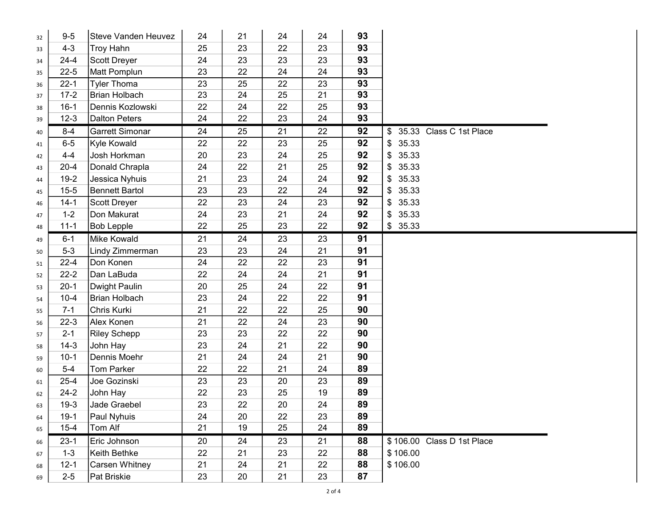| 32 | $9-5$    | <b>Steve Vanden Heuvez</b> | 24 | 21 | 24 | 24 | 93 |                            |
|----|----------|----------------------------|----|----|----|----|----|----------------------------|
| 33 | $4 - 3$  | <b>Troy Hahn</b>           | 25 | 23 | 22 | 23 | 93 |                            |
| 34 | $24 - 4$ | <b>Scott Dreyer</b>        | 24 | 23 | 23 | 23 | 93 |                            |
| 35 | $22 - 5$ | Matt Pomplun               | 23 | 22 | 24 | 24 | 93 |                            |
| 36 | $22 - 1$ | <b>Tyler Thoma</b>         | 23 | 25 | 22 | 23 | 93 |                            |
| 37 | $17-2$   | Brian Holbach              | 23 | 24 | 25 | 21 | 93 |                            |
| 38 | $16-1$   | Dennis Kozlowski           | 22 | 24 | 22 | 25 | 93 |                            |
| 39 | $12 - 3$ | <b>Dalton Peters</b>       | 24 | 22 | 23 | 24 | 93 |                            |
| 40 | $8 - 4$  | <b>Garrett Simonar</b>     | 24 | 25 | 21 | 22 | 92 | \$ 35.33 Class C 1st Place |
| 41 | $6-5$    | Kyle Kowald                | 22 | 22 | 23 | 25 | 92 | \$35.33                    |
| 42 | $4 - 4$  | Josh Horkman               | 20 | 23 | 24 | 25 | 92 | 35.33<br>\$                |
| 43 | $20 - 4$ | Donald Chrapla             | 24 | 22 | 21 | 25 | 92 | 35.33<br>\$                |
| 44 | $19-2$   | Jessica Nyhuis             | 21 | 23 | 24 | 24 | 92 | \$35.33                    |
| 45 | $15 - 5$ | <b>Bennett Bartol</b>      | 23 | 23 | 22 | 24 | 92 | 35.33<br>\$                |
| 46 | $14 - 1$ | Scott Dreyer               | 22 | 23 | 24 | 23 | 92 | 35.33<br>\$                |
| 47 | $1 - 2$  | Don Makurat                | 24 | 23 | 21 | 24 | 92 | \$35.33                    |
| 48 | $11 - 1$ | <b>Bob Lepple</b>          | 22 | 25 | 23 | 22 | 92 | \$35.33                    |
| 49 | $6 - 1$  | <b>Mike Kowald</b>         | 21 | 24 | 23 | 23 | 91 |                            |
| 50 | $5-3$    | Lindy Zimmerman            | 23 | 23 | 24 | 21 | 91 |                            |
| 51 | $22 - 4$ | Don Konen                  | 24 | 22 | 22 | 23 | 91 |                            |
| 52 | $22 - 2$ | Dan LaBuda                 | 22 | 24 | 24 | 21 | 91 |                            |
| 53 | $20-1$   | Dwight Paulin              | 20 | 25 | 24 | 22 | 91 |                            |
| 54 | $10 - 4$ | <b>Brian Holbach</b>       | 23 | 24 | 22 | 22 | 91 |                            |
| 55 | $7 - 1$  | Chris Kurki                | 21 | 22 | 22 | 25 | 90 |                            |
| 56 | $22-3$   | Alex Konen                 | 21 | 22 | 24 | 23 | 90 |                            |
| 57 | $2 - 1$  | <b>Riley Schepp</b>        | 23 | 23 | 22 | 22 | 90 |                            |
| 58 | $14-3$   | John Hay                   | 23 | 24 | 21 | 22 | 90 |                            |
| 59 | $10-1$   | Dennis Moehr               | 21 | 24 | 24 | 21 | 90 |                            |
| 60 | $5-4$    | Tom Parker                 | 22 | 22 | 21 | 24 | 89 |                            |
| 61 | $25 - 4$ | Joe Gozinski               | 23 | 23 | 20 | 23 | 89 |                            |
| 62 | $24-2$   | John Hay                   | 22 | 23 | 25 | 19 | 89 |                            |
| 63 | $19 - 3$ | Jade Graebel               | 23 | 22 | 20 | 24 | 89 |                            |
| 64 | $19-1$   | Paul Nyhuis                | 24 | 20 | 22 | 23 | 89 |                            |
| 65 | $15 - 4$ | Tom Alf                    | 21 | 19 | 25 | 24 | 89 |                            |
| 66 | $23-1$   | Eric Johnson               | 20 | 24 | 23 | 21 | 88 | \$106.00 Class D 1st Place |
| 67 | $1 - 3$  | Keith Bethke               | 22 | 21 | 23 | 22 | 88 | \$106.00                   |
| 68 | $12 - 1$ | Carsen Whitney             | 21 | 24 | 21 | 22 | 88 | \$106.00                   |
| 69 | $2 - 5$  | Pat Briskie                | 23 | 20 | 21 | 23 | 87 |                            |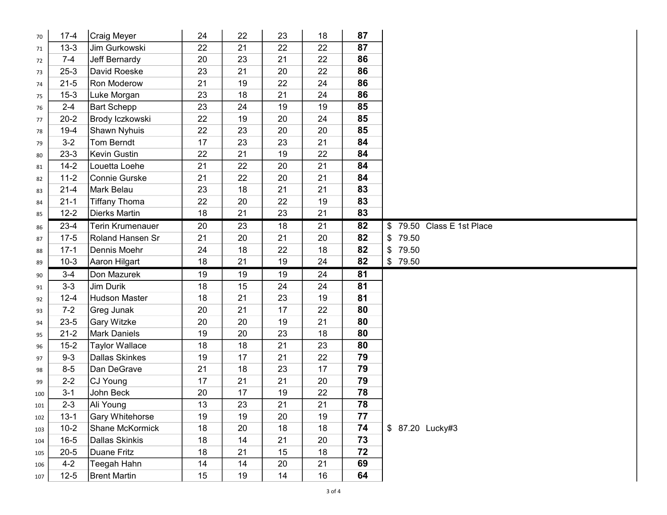| 70  | $17 - 4$            | <b>Craig Meyer</b>                 | 24       | 22       | 23       | 18       | 87       |                           |
|-----|---------------------|------------------------------------|----------|----------|----------|----------|----------|---------------------------|
| 71  | $13 - 3$            | Jim Gurkowski                      | 22       | 21       | 22       | 22       | 87       |                           |
| 72  | $7 - 4$             | Jeff Bernardy                      | 20       | 23       | 21       | 22       | 86       |                           |
| 73  | $25 - 3$            | David Roeske                       | 23       | 21       | 20       | 22       | 86       |                           |
| 74  | $21 - 5$            | Ron Moderow                        | 21       | 19       | 22       | 24       | 86       |                           |
| 75  | $15 - 3$            | Luke Morgan                        | 23       | 18       | 21       | 24       | 86       |                           |
| 76  | $2 - 4$             | <b>Bart Schepp</b>                 | 23       | 24       | 19       | 19       | 85       |                           |
| 77  | $20 - 2$            | Brody Iczkowski                    | 22       | 19       | 20       | 24       | 85       |                           |
| 78  | $19-4$              | Shawn Nyhuis                       | 22       | 23       | 20       | 20       | 85       |                           |
| 79  | $3 - 2$             | Tom Berndt                         | 17       | 23       | 23       | 21       | 84       |                           |
| 80  | $23-3$              | Kevin Gustin                       | 22       | 21       | 19       | 22       | 84       |                           |
| 81  | $14-2$              | Louetta Loehe                      | 21       | 22       | 20       | 21       | 84       |                           |
| 82  | $11 - 2$            | Connie Gurske                      | 21       | 22       | 20       | 21       | 84       |                           |
| 83  | $21 - 4$            | Mark Belau                         | 23       | 18       | 21       | 21       | 83       |                           |
| 84  | $21 - 1$            | <b>Tiffany Thoma</b>               | 22       | 20       | 22       | 19       | 83       |                           |
| 85  | $12 - 2$            | Dierks Martin                      | 18       | 21       | 23       | 21       | 83       |                           |
| 86  | $23-4$              | Terin Krumenauer                   | 20       | 23       | 18       | 21       | 82       | \$79.50 Class E 1st Place |
| 87  | $17-5$              | Roland Hansen Sr                   | 21       | 20       | 21       | 20       | 82       | \$79.50                   |
| 88  | $17-1$              | Dennis Moehr                       | 24       | 18       | 22       | 18       | 82       | 79.50<br>$\mathcal{S}$    |
| 89  | $10-3$              | Aaron Hilgart                      | 18       | 21       | 19       | 24       | 82       | \$79.50                   |
|     |                     |                                    |          |          |          |          |          |                           |
| 90  | $3 - 4$             | Don Mazurek                        | 19       | 19       | 19       | 24       | 81       |                           |
| 91  | $3 - 3$             | Jim Durik                          | 18       | 15       | 24       | 24       | 81       |                           |
| 92  | $12 - 4$            | <b>Hudson Master</b>               | 18       | 21       | 23       | 19       | 81       |                           |
| 93  | $7 - 2$             | Greg Junak                         | 20       | 21       | 17       | 22       | 80       |                           |
| 94  | $23 - 5$            | <b>Gary Witzke</b>                 | 20       | 20       | 19       | 21       | 80       |                           |
| 95  | $21 - 2$            | <b>Mark Daniels</b>                | 19       | 20       | 23       | 18       | 80       |                           |
| 96  | $15 - 2$            | <b>Taylor Wallace</b>              | 18       | 18       | 21       | 23       | 80       |                           |
| 97  | $9 - 3$             | <b>Dallas Skinkes</b>              | 19       | 17       | 21       | 22       | 79       |                           |
| 98  | $8-5$               | Dan DeGrave                        | 21       | 18       | 23       | 17       | 79       |                           |
| 99  | $2 - 2$             | CJ Young                           | 17       | 21       | 21       | 20       | 79       |                           |
| 100 | $3 - 1$             | John Beck                          | 20       | 17       | 19       | 22       | 78       |                           |
| 101 | $2 - 3$             | Ali Young                          | 13       | 23       | 21       | 21       | 78       |                           |
| 102 | $13 - 1$            | <b>Gary Whitehorse</b>             | 19       | 19       | 20       | 19       | 77       |                           |
| 103 | $10-2$              | Shane McKormick                    | 18       | 20       | 18       | 18       | 74       | \$ 87.20 Lucky#3          |
| 104 | $16 - 5$            | <b>Dallas Skinkis</b>              | 18       | 14       | 21       | 20       | 73       |                           |
| 105 | $20 - 5$            | <b>Duane Fritz</b>                 | 18       | 21       | 15       | 18       | 72       |                           |
| 106 | $4 - 2$<br>$12 - 5$ | Teegah Hahn<br><b>Brent Martin</b> | 14<br>15 | 14<br>19 | 20<br>14 | 21<br>16 | 69<br>64 |                           |